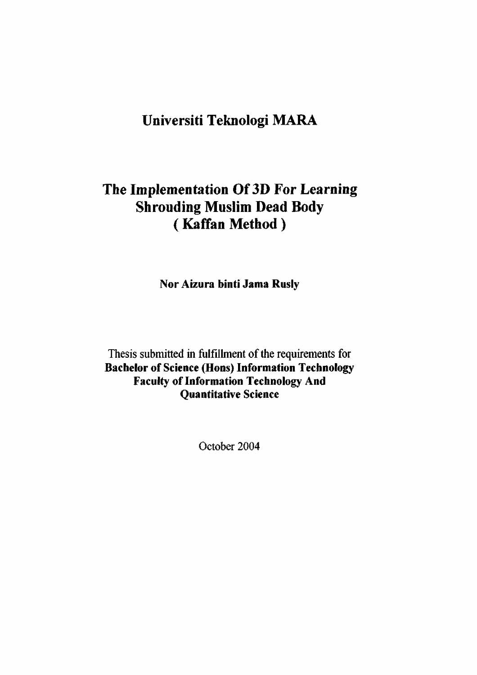## **Universiti Teknologi MARA**

# **The Implementation Of 3D For Learning Shrouding Muslim Dead Body ( Kaffan Method)**

**Nor Aizura binti Jama Ruslv** 

Thesis submitted in fulfillment of the requirements for **Bachelor of Science (Hons) Information Technology Faculty of Information Technology And Quantitative Science** 

October 2004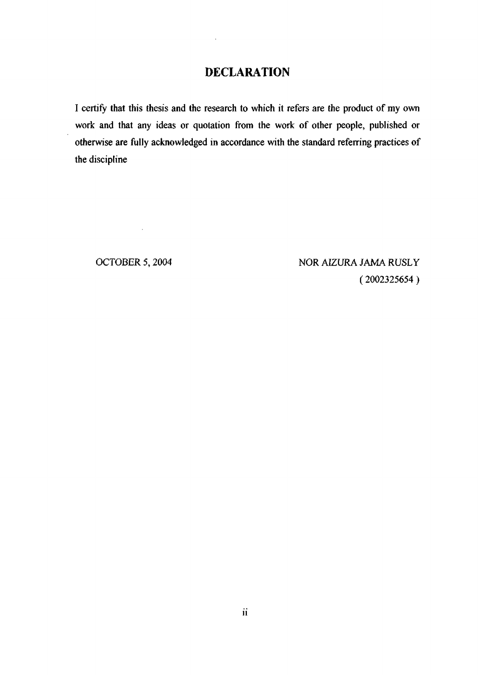## **DECLARATION**

I certify that this thesis and the research to which it refers are the product of my own work and that any ideas or quotation from the work of other people, published or otherwise are fully acknowledged in accordance with the standard referring practices of the discipline

 $\sim 10^{-10}$ 

OCTOBER 5, 2004 NOR AIZURA JAMA RUSLY (2002325654 )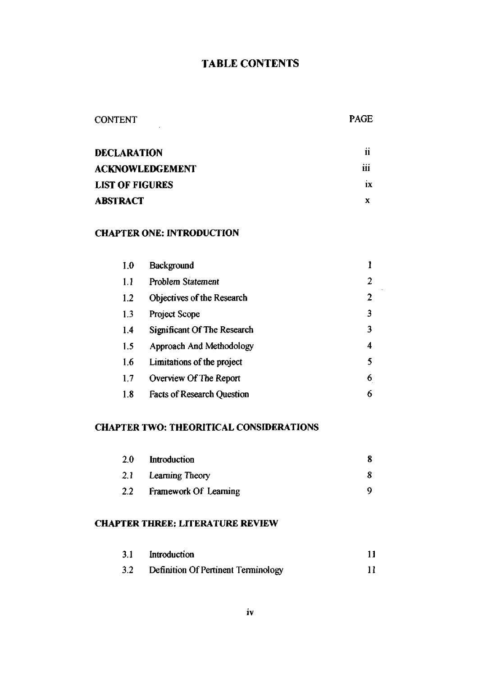## TABLE CONTENTS

# CONTENT PAGE

| <b>DECLARATION</b>     | 11      |
|------------------------|---------|
| <b>ACKNOWLEDGEMENT</b> | <br>111 |
| <b>LIST OF FIGURES</b> | ıх      |
| <b>ABSTRACT</b>        |         |

#### **CHAPTER ONE: INTRODUCTION**

| 1.0 | Background                        |                |
|-----|-----------------------------------|----------------|
| 1.1 | Problem Statement                 | 2              |
| 1.2 | Objectives of the Research        | $\overline{2}$ |
| 1.3 | Project Scope                     | 3              |
| 1.4 | Significant Of The Research       | 3              |
| 1.5 | Approach And Methodology          | 4              |
| 1.6 | Limitations of the project        | 5              |
| 1.7 | Overview Of The Report            | 6              |
| 1.8 | <b>Facts of Research Question</b> | 6              |

### **CHAPTER TWO: THEORITICAL CONSIDERATIONS**

| 2.0           | Introduction          |  |
|---------------|-----------------------|--|
|               | 2.1 Learning Theory   |  |
| $2.2^{\circ}$ | Framework Of Learning |  |

#### **CHAPTER THREE: LITERATURE REVIEW**

| 3.1              | Introduction                        |  |
|------------------|-------------------------------------|--|
| 3.2 <sub>2</sub> | Definition Of Pertinent Terminology |  |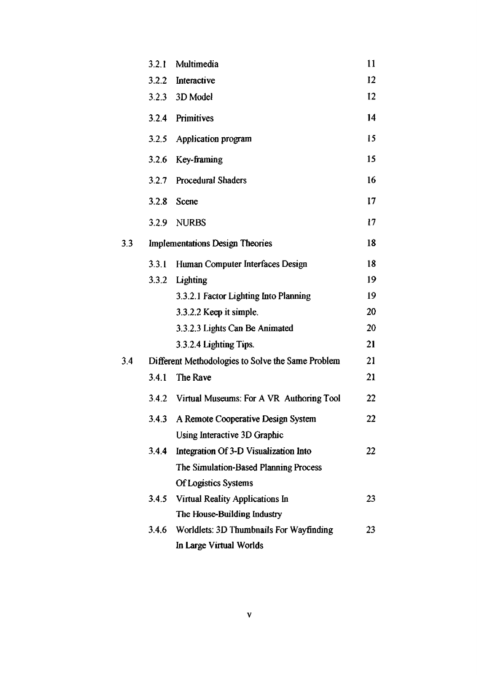|     | 3.2.1                                             | Multimedia                                     | 11 |
|-----|---------------------------------------------------|------------------------------------------------|----|
|     | 3.2.2                                             | Interactive                                    | 12 |
|     |                                                   | 3.2.3 3D Model                                 | 12 |
|     |                                                   | 3.2.4 Primitives                               | 14 |
|     | 3.2,5                                             | Application program                            | 15 |
|     |                                                   | 3.2.6 Key-framing                              | 15 |
|     | 3.2.7                                             | <b>Procedural Shaders</b>                      | 16 |
|     | 3.2.8                                             | Scene                                          | 17 |
|     |                                                   | 3.2.9 NURBS                                    | 17 |
| 3.3 |                                                   | <b>Implementations Design Theories</b>         | 18 |
|     | 3.3.1                                             | Human Computer Interfaces Design               | 18 |
|     | 3.3.2                                             | Lighting                                       | 19 |
|     |                                                   | 3.3.2.1 Factor Lighting Into Planning          | 19 |
|     |                                                   | 3.3.2.2 Keep it simple.                        | 20 |
|     |                                                   | 3.3.2.3 Lights Can Be Animated                 | 20 |
|     |                                                   | 3.3.2.4 Lighting Tips.                         | 21 |
| 3.4 | Different Methodologies to Solve the Same Problem |                                                |    |
|     | 3.4.1                                             | The Rave                                       | 21 |
|     |                                                   | 3.4.2 Virtual Museums: For A VR Authoring Tool | 22 |
|     |                                                   | 3.4.3 A Remote Cooperative Design System       | 22 |
|     |                                                   | Using Interactive 3D Graphic                   |    |
|     | 3.4.4                                             | Integration Of 3-D Visualization Into          | 22 |
|     |                                                   | The Simulation-Based Planning Process          |    |
|     |                                                   | Of Logistics Systems                           |    |
|     | 3.4.5                                             | Virtual Reality Applications In                | 23 |
|     |                                                   | The House-Building Industry                    |    |
|     | 3.4.6                                             | Worldlets: 3D Thumbnails For Wayfinding        | 23 |
|     |                                                   | In Large Virtual Worlds                        |    |